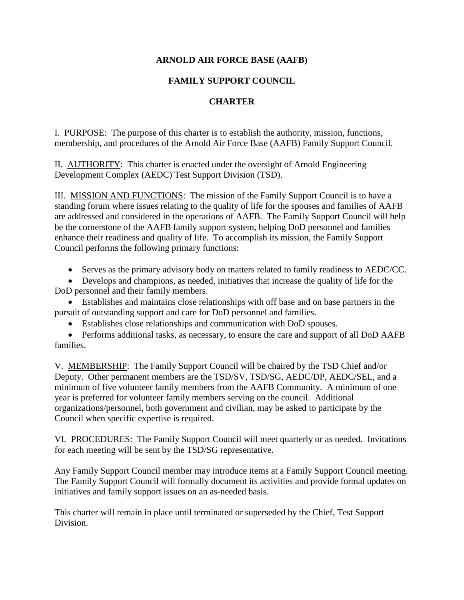## **ARNOLD AIR FORCE BASE (AAFB)**

## **FAMILY SUPPORT COUNCIL**

## **CHARTER**

I. PURPOSE: The purpose of this charter is to establish the authority, mission, functions, membership, and procedures of the Arnold Air Force Base (AAFB) Family Support Council.

II. AUTHORITY: This charter is enacted under the oversight of Arnold Engineering Development Complex (AEDC) Test Support Division (TSD).

III. MISSION AND FUNCTIONS: The mission of the Family Support Council is to have a standing forum where issues relating to the quality of life for the spouses and families of AAFB are addressed and considered in the operations of AAFB. The Family Support Council will help be the cornerstone of the AAFB family support system, helping DoD personnel and families enhance their readiness and quality of life. To accomplish its mission, the Family Support Council performs the following primary functions:

• Serves as the primary advisory body on matters related to family readiness to AEDC/CC.

• Develops and champions, as needed, initiatives that increase the quality of life for the DoD personnel and their family members.

• Establishes and maintains close relationships with off base and on base partners in the pursuit of outstanding support and care for DoD personnel and families.

• Establishes close relationships and communication with DoD spouses.

• Performs additional tasks, as necessary, to ensure the care and support of all DoD AAFB families.

V. MEMBERSHIP: The Family Support Council will be chaired by the TSD Chief and/or Deputy. Other permanent members are the TSD/SV, TSD/SG, AEDC/DP, AEDC/SEL, and a minimum of five volunteer family members from the AAFB Community. A minimum of one year is preferred for volunteer family members serving on the council. Additional organizations/personnel, both government and civilian, may be asked to participate by the Council when specific expertise is required.

VI. PROCEDURES: The Family Support Council will meet quarterly or as needed. Invitations for each meeting will be sent by the TSD/SG representative.

Any Family Support Council member may introduce items at a Family Support Council meeting. The Family Support Council will formally document its activities and provide formal updates on initiatives and family support issues on an as-needed basis.

This charter will remain in place until terminated or superseded by the Chief, Test Support Division.